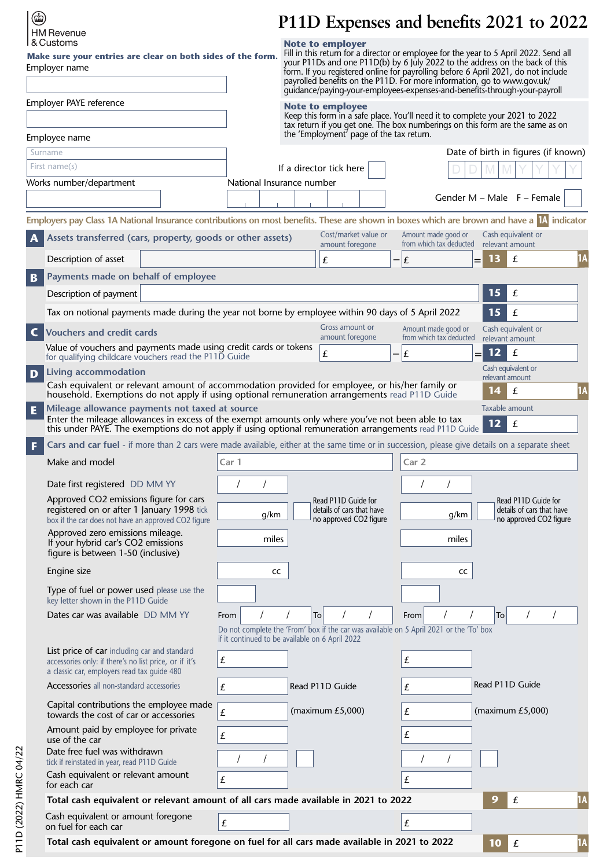| $\circledast$     |
|-------------------|
| <b>HM Revenue</b> |
| l & Customs       |

l.

## **P11D Expenses and benefits 2021 to 2022**

| I & Customs<br>Make sure your entries are clear on both sides of the form.<br>Employer name                                                                                                                                                                            |                    | <b>Note to employer</b><br>Fill in this return for a director or employee for the year to 5 April 2022. Send all<br>your P11Ds and one P11D(b) by 6 July 2022 to the address on the back of this<br>form. If you registered online for payrolling before 6 April 2021, do not include<br>payrolled benefits on the P11D. For more information, go to www.gov.uk/<br>guidance/paying-your-employees-expenses-and-benefits-through-your-payroll |                                                                |                                                                            |
|------------------------------------------------------------------------------------------------------------------------------------------------------------------------------------------------------------------------------------------------------------------------|--------------------|-----------------------------------------------------------------------------------------------------------------------------------------------------------------------------------------------------------------------------------------------------------------------------------------------------------------------------------------------------------------------------------------------------------------------------------------------|----------------------------------------------------------------|----------------------------------------------------------------------------|
| Employer PAYE reference                                                                                                                                                                                                                                                |                    | Note to employee<br>Keep this form in a safe place. You'll need it to complete your 2021 to 2022<br>tax return if you get one. The box numberings on this form are the same as on<br>the 'Employment' page of the tax return.                                                                                                                                                                                                                 |                                                                |                                                                            |
| Employee name                                                                                                                                                                                                                                                          |                    |                                                                                                                                                                                                                                                                                                                                                                                                                                               |                                                                |                                                                            |
| Surname                                                                                                                                                                                                                                                                |                    |                                                                                                                                                                                                                                                                                                                                                                                                                                               |                                                                | Date of birth in figures (if known)                                        |
| First name(s)                                                                                                                                                                                                                                                          |                    | If a director tick here                                                                                                                                                                                                                                                                                                                                                                                                                       |                                                                |                                                                            |
| Works number/department                                                                                                                                                                                                                                                |                    | National Insurance number                                                                                                                                                                                                                                                                                                                                                                                                                     |                                                                |                                                                            |
|                                                                                                                                                                                                                                                                        |                    |                                                                                                                                                                                                                                                                                                                                                                                                                                               |                                                                | Gender $M - Male$ F – Female                                               |
| Employers pay Class 1A National Insurance contributions on most benefits. These are shown in boxes which are brown and have a $\mathbb{N}$ indicator                                                                                                                   |                    |                                                                                                                                                                                                                                                                                                                                                                                                                                               |                                                                |                                                                            |
| Assets transferred (cars, property, goods or other assets)<br>A                                                                                                                                                                                                        |                    | Cost/market value or<br>amount foregone                                                                                                                                                                                                                                                                                                                                                                                                       | Amount made good or<br>from which tax deducted relevant amount | Cash equivalent or                                                         |
| Description of asset                                                                                                                                                                                                                                                   |                    | £                                                                                                                                                                                                                                                                                                                                                                                                                                             | $- E $<br>=                                                    | 1A<br>13<br>£                                                              |
| Payments made on behalf of employee<br>$\mathbf{B}$                                                                                                                                                                                                                    |                    |                                                                                                                                                                                                                                                                                                                                                                                                                                               |                                                                |                                                                            |
| Description of payment                                                                                                                                                                                                                                                 |                    |                                                                                                                                                                                                                                                                                                                                                                                                                                               |                                                                | 15<br>£                                                                    |
| Tax on notional payments made during the year not borne by employee within 90 days of 5 April 2022                                                                                                                                                                     |                    |                                                                                                                                                                                                                                                                                                                                                                                                                                               |                                                                | 15<br>£                                                                    |
|                                                                                                                                                                                                                                                                        |                    | Gross amount or                                                                                                                                                                                                                                                                                                                                                                                                                               | Amount made good or                                            | Cash equivalent or                                                         |
| $\mathsf{C}$<br><b>Vouchers and credit cards</b>                                                                                                                                                                                                                       |                    | amount foregone                                                                                                                                                                                                                                                                                                                                                                                                                               | from which tax deducted                                        | relevant amount                                                            |
| Value of vouchers and payments made using credit cards or tokens<br>for qualifying childcare vouchers read the P11D Guide                                                                                                                                              |                    | £                                                                                                                                                                                                                                                                                                                                                                                                                                             | £                                                              | 12<br>$\pounds$                                                            |
| Living accommodation<br>D                                                                                                                                                                                                                                              |                    |                                                                                                                                                                                                                                                                                                                                                                                                                                               |                                                                | Cash equivalent or                                                         |
| Cash equivalent or relevant amount of accommodation provided for employee, or his/her family or<br>household. Exemptions do not apply if using optional remuneration arrangements read P11D Guide                                                                      |                    |                                                                                                                                                                                                                                                                                                                                                                                                                                               |                                                                | relevant amount<br>1A<br>14<br>£                                           |
| Mileage allowance payments not taxed at source<br>E<br>Enter the mileage allowances in excess of the exempt amounts only where you've not been able to tax<br>this under PAYE. The exemptions do not apply if using optional remuneration arrangements read P11D Guide |                    |                                                                                                                                                                                                                                                                                                                                                                                                                                               |                                                                | Taxable amount<br>$12$<br>£                                                |
| Cars and car fuel - if more than 2 cars were made available, either at the same time or in succession, please give details on a separate sheet<br>F                                                                                                                    |                    |                                                                                                                                                                                                                                                                                                                                                                                                                                               |                                                                |                                                                            |
| Make and model                                                                                                                                                                                                                                                         | Car 1              |                                                                                                                                                                                                                                                                                                                                                                                                                                               | Car 2                                                          |                                                                            |
| Date first registered DD MM YY                                                                                                                                                                                                                                         |                    |                                                                                                                                                                                                                                                                                                                                                                                                                                               |                                                                |                                                                            |
| Approved CO2 emissions figure for cars<br>registered on or after 1 January 1998 tick<br>box if the car does not have an approved CO2 figure                                                                                                                            | g/km               | Read P11D Guide for<br>details of cars that have<br>no approved CO2 figure                                                                                                                                                                                                                                                                                                                                                                    | g/km                                                           | Read P11D Guide for<br>details of cars that have<br>no approved CO2 figure |
| Approved zero emissions mileage.<br>If your hybrid car's CO2 emissions<br>figure is between 1-50 (inclusive)                                                                                                                                                           | miles              |                                                                                                                                                                                                                                                                                                                                                                                                                                               | miles                                                          |                                                                            |
| Engine size                                                                                                                                                                                                                                                            | cc                 |                                                                                                                                                                                                                                                                                                                                                                                                                                               | cc                                                             |                                                                            |
| Type of fuel or power used please use the<br>key letter shown in the P11D Guide                                                                                                                                                                                        |                    |                                                                                                                                                                                                                                                                                                                                                                                                                                               |                                                                |                                                                            |
| Dates car was available DD MM YY                                                                                                                                                                                                                                       | From               | To                                                                                                                                                                                                                                                                                                                                                                                                                                            | From                                                           | To                                                                         |
|                                                                                                                                                                                                                                                                        |                    | Do not complete the 'From' box if the car was available on 5 April 2021 or the 'To' box<br>if it continued to be available on 6 April 2022                                                                                                                                                                                                                                                                                                    |                                                                |                                                                            |
| List price of car including car and standard<br>accessories only: if there's no list price, or if it's<br>a classic car, employers read tax guide 480                                                                                                                  | £                  |                                                                                                                                                                                                                                                                                                                                                                                                                                               | £                                                              |                                                                            |
| Accessories all non-standard accessories                                                                                                                                                                                                                               | $\pounds$          | Read P11D Guide                                                                                                                                                                                                                                                                                                                                                                                                                               | £                                                              | Read P11D Guide                                                            |
| Capital contributions the employee made<br>towards the cost of car or accessories                                                                                                                                                                                      | £                  | (maximum $E5,000$ )                                                                                                                                                                                                                                                                                                                                                                                                                           | £                                                              | (maximum $E5,000$ )                                                        |
| Amount paid by employee for private<br>use of the car<br>Date free fuel was withdrawn                                                                                                                                                                                  | $\pmb{\mathit{f}}$ |                                                                                                                                                                                                                                                                                                                                                                                                                                               | £                                                              |                                                                            |
| tick if reinstated in year, read P11D Guide<br>Cash equivalent or relevant amount                                                                                                                                                                                      | $\pmb{\mathit{f}}$ |                                                                                                                                                                                                                                                                                                                                                                                                                                               | £                                                              |                                                                            |
| for each car                                                                                                                                                                                                                                                           |                    |                                                                                                                                                                                                                                                                                                                                                                                                                                               |                                                                |                                                                            |
| Total cash equivalent or relevant amount of all cars made available in 2021 to 2022                                                                                                                                                                                    |                    |                                                                                                                                                                                                                                                                                                                                                                                                                                               |                                                                | 1A<br>9<br>£                                                               |
| Cash equivalent or amount foregone<br>on fuel for each car                                                                                                                                                                                                             | £                  |                                                                                                                                                                                                                                                                                                                                                                                                                                               | £                                                              |                                                                            |
| Total cash equivalent or amount foregone on fuel for all cars made available in 2021 to 2022                                                                                                                                                                           |                    |                                                                                                                                                                                                                                                                                                                                                                                                                                               |                                                                | 10<br>1A<br>$\pounds$                                                      |